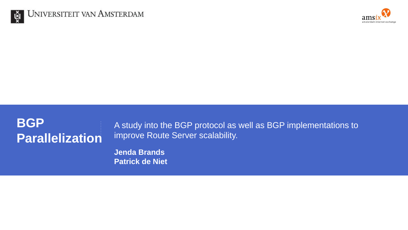



## **BGP Parallelization**

A study into the BGP protocol as well as BGP implementations to improve Route Server scalability.

**Jenda Brands Patrick de Niet**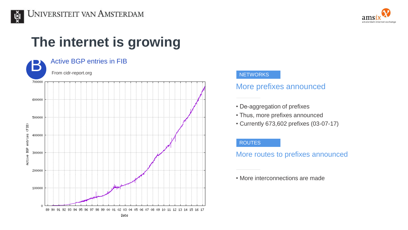



# **The internet is growing**



#### **NETWORKS**

### More prefixes announced

- De-aggregation of prefixes
- Thus, more prefixes announced
- Currently 673,602 prefixes (03-07-17)

#### ROUTES

More routes to prefixes announced

• More interconnections are made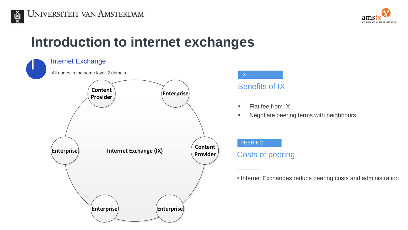



# **Introduction to internet exchanges**

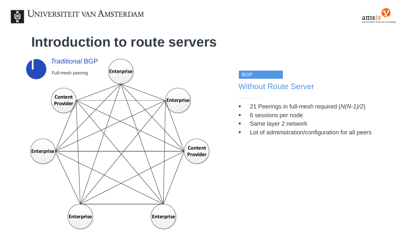



### **Introduction to route servers**



#### **BGP**

### Without Route Server

- 21 Peerings in full-mesh required (*N(N-1)/2*)
- 6 sessions per node
- Same layer 2 network
- **Lot of administration/configuration for all peers**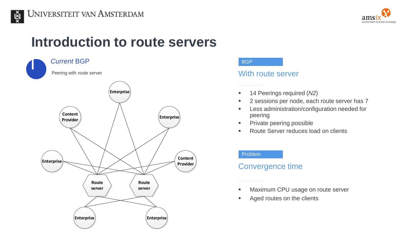



### **Introduction to route servers**



#### **BGP**

### With route server

- 14 Peerings required (*N2*)
- 2 sessions per node, each route server has 7
- Less administration/configuration needed for peering
- **Private peering possible**
- Route Server reduces load on clients

#### Problem

### Convergence time

- Maximum CPU usage on route server
- Aged routes on the clients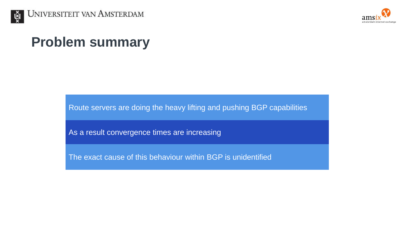



# **Problem summary**

Route servers are doing the heavy lifting and pushing BGP capabilities

As a result convergence times are increasing

The exact cause of this behaviour within BGP is unidentified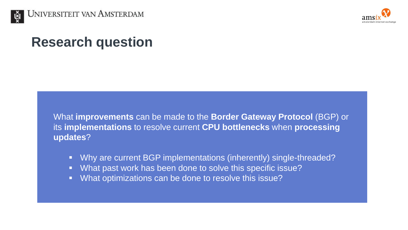



# **Research question**

What **improvements** can be made to the **Border Gateway Protocol** (BGP) or its **implementations** to resolve current **CPU bottlenecks** when **processing updates**?

- Why are current BGP implementations (inherently) single-threaded?
- What past work has been done to solve this specific issue?
- **What optimizations can be done to resolve this issue?**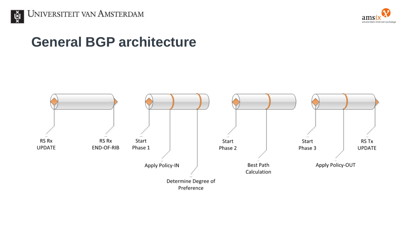



# **General BGP architecture**

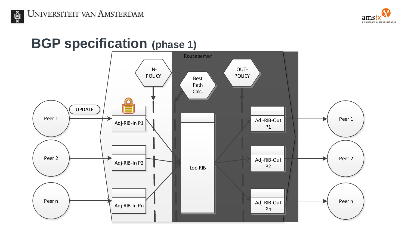

# **BGP specification (phase 1)**

UNIVERSITEIT VAN AMSTERDAM

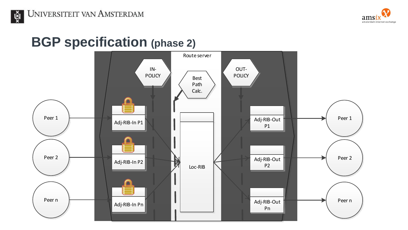

# **BGP specification (phase 2)**

 $\mathbf{x}$ 

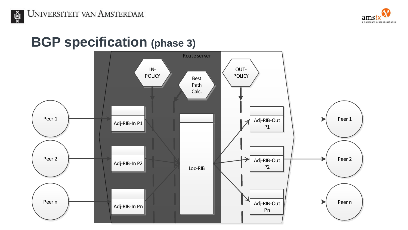

UNIVERSITEIT VAN AMSTERDAM

 $x_{\overline{\mathbf{X}}}^{\mathbf{x}}$ 

### **BGP specification (phase 3)**

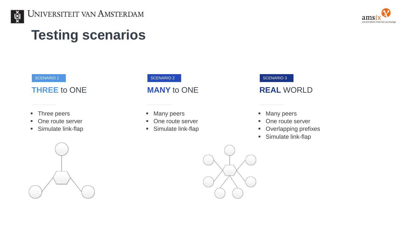



# **Testing scenarios**

#### SCENARIO<sub>1</sub>

### **THREE** to ONE

- **Three peers**
- One route server
- **Simulate link-flap**



#### SCENARIO 2

### **MANY** to ONE

- **Many peers**
- One route server
- **Simulate link-flap**



### **REAL** WORLD

- **Many peers**
- One route server
- **•** Overlapping prefixes
- **Simulate link-flap**

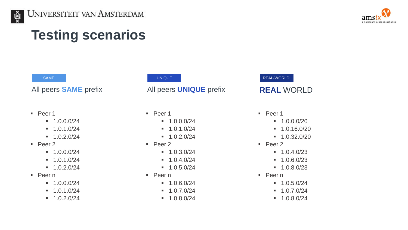



# **Testing scenarios**

#### SAME

All peers **SAME** prefix

- $\blacksquare$  Peer 1
	- $-1.0.0.0/24$
	- $-1.0.1.0/24$
	- $-1.0.2.0/24$
- $\blacksquare$  Peer 2
	- $-1.0.0.0/24$
	- $-1.0.1.0/24$
	- $-1.0.2.0/24$
- Peer n
	- $-1.0.0.0/24$
	- $-1.0.1.0/24$
	- $-1.0.2.0/24$

#### UNIQUE

All peers **UNIQUE** prefix

#### ■ Peer 1

- $-1.0.0.0/24$
- $-1.0.1.0/24$
- $-1.0.2.0/24$
- Peer 2
	- $-1.0.3.0/24$
	- $-1.0.4.0/24$
	- $-1.0.5.0/24$
- Peer n
	- $-1.0.6.0/24$
	- $-1.0.7.0/24$
	- $-1.0.8.0/24$

#### REAL-WORLD

### **REAL** WORLD

- Peer 1
	- $-1.0.0.0/20$
	- $-1.0.16.0/20$
	- $-1.0.32.0/20$
- Peer 2
	- $-1.0.4.0/23$
	- $-1.0.6.0/23$
	- $-1.0.8.0/23$
- Peer n
	- $-1.0.5.0/24$
	- $-1.0.7.0/24$
	- $-1.0.8.0/24$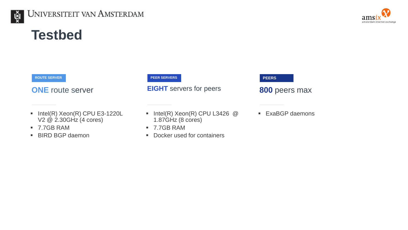

### UNIVERSITEIT VAN AMSTERDAM

# **Testbed**

**ROUTE SERVER**

**ONE** route server

- $\blacksquare$  Intel(R) Xeon(R) CPU E3-1220L V2 @ 2.30GHz (4 cores)
- 7.7GB RAM
- **BIRD BGP daemon**

**PEER SERVERS**

**EIGHT** servers for peers

 $\blacksquare$  Intel(R) Xeon(R) CPU L3426 @ 1.87GHz (8 cores)

- 7.7GB RAM
- Docker used for containers



### **800** peers max

■ ExaBGP daemons

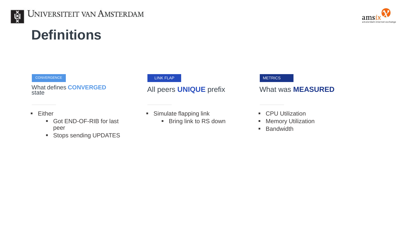

# **Definitions**

#### **CONVERGENCE**

What defines **CONVERGED**  state

- **Either** 
	- Got END-OF-RIB for last peer
	- **Stops sending UPDATES**

#### LINK FLAP

### All peers **UNIQUE** prefix

- **Simulate flapping link** 
	- **Bring link to RS down**

#### **METRICS**

#### What was **MEASURED**

- **CPU Utilization**
- **Memory Utilization**
- **Bandwidth**

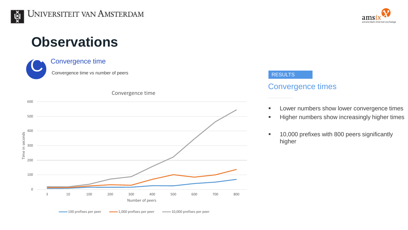# **Observations**





#### RESULTS

### Convergence times

- **EXECUTE:** Lower numbers show lower convergence times
- **Higher numbers show increasingly higher times**
- <sup>1</sup> 10,000 prefixes with 800 peers significantly higher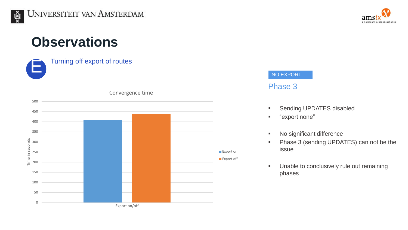# **Observations**

E Turning off export of routes





#### NO EXPORT

### Phase 3

- **Sending UPDATES disabled**
- "export none"
- **No significant difference**
- **Phase 3 (sending UPDATES) can not be the** issue
- **Unable to conclusively rule out remaining** phases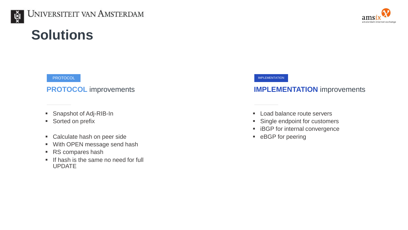

# **Solutions**

#### PROTOCOL

#### **PROTOCOL** improvements

- Snapshot of Adj-RIB-In
- Sorted on prefix
- Calculate hash on peer side
- With OPEN message send hash
- RS compares hash
- If hash is the same no need for full UPDATE

#### IMPLEMENTATION

### **IMPLEMENTATION** improvements

- **Load balance route servers**
- **Single endpoint for customers**
- **EXECP for internal convergence**
- **EXAGP** for peering

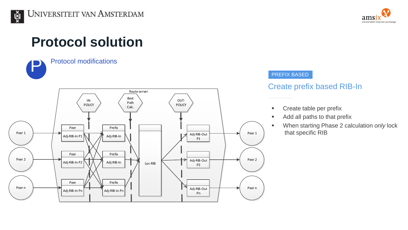# **Protocol solution**



### Protocol modifications



# amsterdam internet exchange

#### PREFIX BASED

### Create prefix based RIB-In

- **Create table per prefix**
- **Add all paths to that prefix**
- When starting Phase 2 calculation *only* lock that specific RIB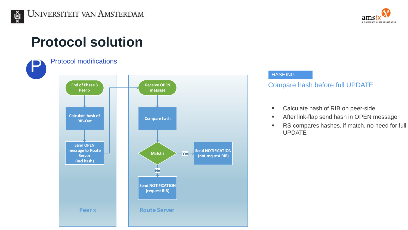# **Protocol solution**



#### **HASHING**

### Compare hash before full UPDATE

- **EXEC** Calculate hash of RIB on peer-side
- **After link-flap send hash in OPEN message**
- **RS compares hashes, if match, no need for full** UPDATE

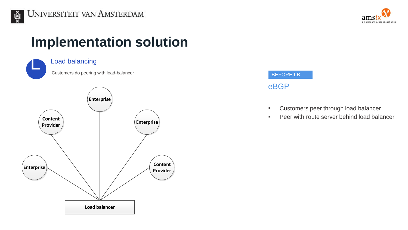

# **Implementation solution**





### eBGP BEFORE LB

- **EXECUSTOMERS** peer through load balancer
- **Peer with route server behind load balancer**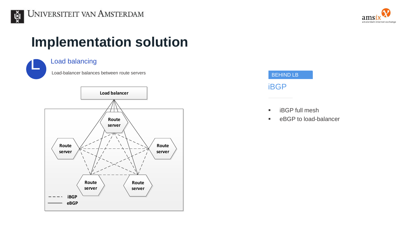



# **Implementation solution**



### Load balancing

Load-balancer balances between route servers





- **iBGP** full mesh
- **EXALGO FIGURE 1** eBGP to load-balancer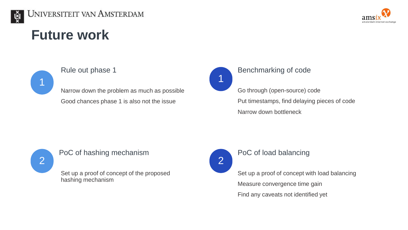

# **Future work**



Narrow down the problem as much as possible Good chances phase 1 is also not the issue



### Rule out phase 1 Benchmarking of code

Go through (open-source) code

Put timestamps, find delaying pieces of code Narrow down bottleneck



### PoC of hashing mechanism **PoC** of load balancing

Set up a proof of concept of the proposed hashing mechanism



Set up a proof of concept with load balancing Measure convergence time gain Find any caveats not identified yet

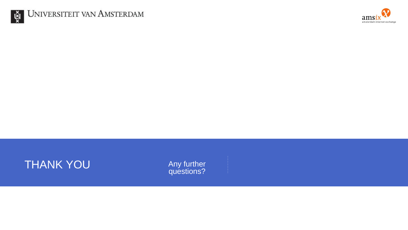



### **THANK YOU**

Any further<br>questions?